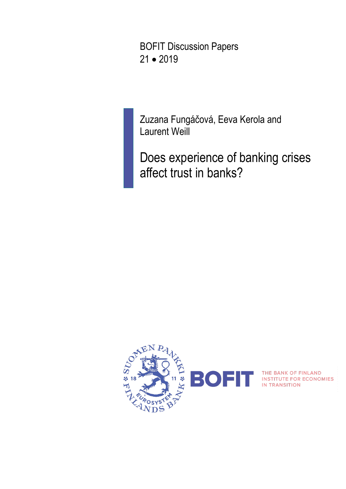BOFIT Discussion Papers 21 • 2019

Zuzana Fungáčová, Eeva Kerola and Laurent Weill

Does experience of banking crises affect trust in banks?



THE BANK OF FINLAND<br>INSTITUTE FOR ECONOMIES<br>IN TRANSITION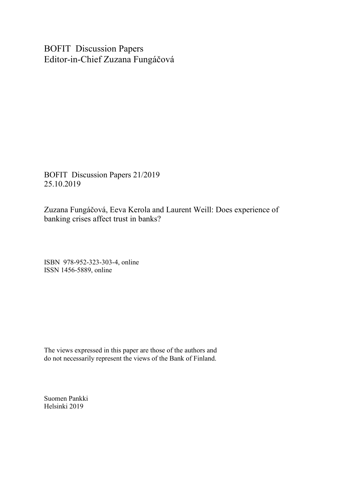BOFIT Discussion Papers Editor-in-Chief Zuzana Fungáčová

BOFIT Discussion Papers 21/2019 25.10.2019

Zuzana Fungáčová, Eeva Kerola and Laurent Weill: Does experience of banking crises affect trust in banks?

ISBN 978-952-323-303-4, online ISSN 1456-5889, online

The views expressed in this paper are those of the authors and do not necessarily represent the views of the Bank of Finland.

Suomen Pankki Helsinki 2019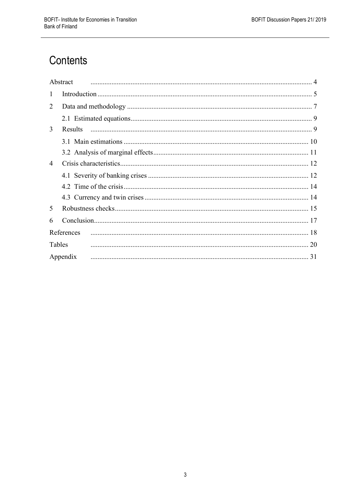# Contents

|                | Abstract   |
|----------------|------------|
| $\mathbf{1}$   |            |
| 2              |            |
|                |            |
| 3              | Results    |
|                |            |
|                |            |
| $\overline{4}$ |            |
|                |            |
|                |            |
|                |            |
| 5              |            |
| 6              |            |
|                | References |
| Tables         |            |
|                | Appendix   |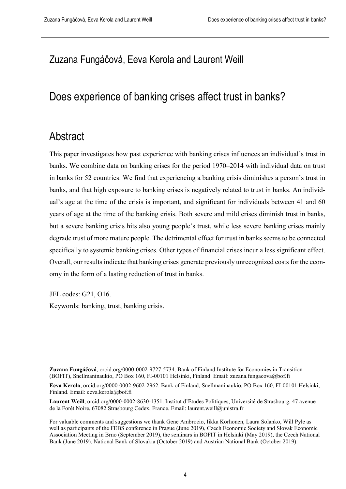## Zuzana Fungáčová, Eeva Kerola and Laurent Weill

## Does experience of banking crises affect trust in banks?

## <span id="page-3-0"></span>Abstract

This paper investigates how past experience with banking crises influences an individual's trust in banks. We combine data on banking crises for the period 1970–2014 with individual data on trust in banks for 52 countries. We find that experiencing a banking crisis diminishes a person's trust in banks, and that high exposure to banking crises is negatively related to trust in banks. An individual's age at the time of the crisis is important, and significant for individuals between 41 and 60 years of age at the time of the banking crisis. Both severe and mild crises diminish trust in banks, but a severe banking crisis hits also young people's trust, while less severe banking crises mainly degrade trust of more mature people. The detrimental effect for trust in banks seems to be connected specifically to systemic banking crises. Other types of financial crises incur a less significant effect. Overall, our results indicate that banking crises generate previously unrecognized costs for the economy in the form of a lasting reduction of trust in banks.

JEL codes: G21, O16.

Keywords: banking, trust, banking crisis.

**Zuzana Fungáčová**, orcid.org/0000-0002-9727-5734. Bank of Finland Institute for Economies in Transition (BOFIT), Snellmaninaukio, PO Box 160, FI-00101 Helsinki, Finland. Email: zuzana.fungacova@bof.fi

**Eeva Kerola**, orcid.org/0000-0002-9602-2962. Bank of Finland, Snellmaninaukio, PO Box 160, FI-00101 Helsinki, Finland. Email: eeva.kerola@bof.fi

**Laurent Weill**, orcid.org/0000-0002-8630-1351. Institut d'Etudes Politiques, Université de Strasbourg, 47 avenue de la Forêt Noire, 67082 Strasbourg Cedex, France. Email: laurent.weill@unistra.fr

For valuable comments and suggestions we thank Gene Ambrocio, Iikka Korhonen, Laura Solanko, Will Pyle as well as participants of the FEBS conference in Prague (June 2019), Czech Economic Society and Slovak Economic Association Meeting in Brno (September 2019), the seminars in BOFIT in Helsinki (May 2019), the Czech National Bank (June 2019), National Bank of Slovakia (October 2019) and Austrian National Bank (October 2019).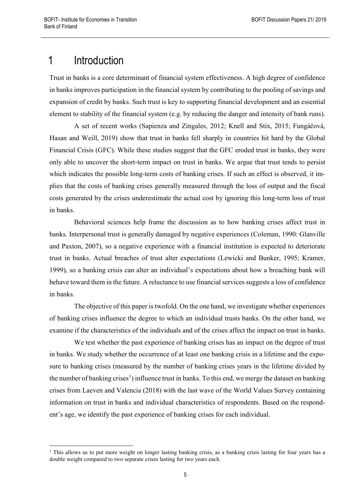# <span id="page-4-0"></span>1 Introduction

Trust in banks is a core determinant of financial system effectiveness. A high degree of confidence in banks improves participation in the financial system by contributing to the pooling of savings and expansion of credit by banks. Such trust is key to supporting financial development and an essential element to stability of the financial system (e.g. by reducing the danger and intensity of bank runs).

A set of recent works (Sapienza and Zingales, 2012; Knell and Stix, 2015; Fungáčová, Hasan and Weill, 2019) show that trust in banks fell sharply in countries hit hard by the Global Financial Crisis (GFC). While these studies suggest that the GFC eroded trust in banks, they were only able to uncover the short-term impact on trust in banks. We argue that trust tends to persist which indicates the possible long-term costs of banking crises. If such an effect is observed, it implies that the costs of banking crises generally measured through the loss of output and the fiscal costs generated by the crises underestimate the actual cost by ignoring this long-term loss of trust in banks.

Behavioral sciences help frame the discussion as to how banking crises affect trust in banks. Interpersonal trust is generally damaged by negative experiences (Coleman, 1990: Glanville and Paxton, 2007), so a negative experience with a financial institution is expected to deteriorate trust in banks. Actual breaches of trust alter expectations (Lewicki and Bunker, 1995; Kramer, 1999), so a banking crisis can alter an individual's expectations about how a breaching bank will behave toward them in the future. A reluctance to use financial services suggests a loss of confidence in banks.

The objective of this paper is twofold. On the one hand, we investigate whether experiences of banking crises influence the degree to which an individual trusts banks. On the other hand, we examine if the characteristics of the individuals and of the crises affect the impact on trust in banks.

We test whether the past experience of banking crises has an impact on the degree of trust in banks. We study whether the occurrence of at least one banking crisis in a lifetime and the exposure to banking crises (measured by the number of banking crises years in the lifetime divided by the number of banking crises<sup>[1](#page-4-1)</sup>) influence trust in banks. To this end, we merge the dataset on banking crises from Laeven and Valencia (2018) with the last wave of the World Values Survey containing information on trust in banks and individual characteristics of respondents. Based on the respondent's age, we identify the past experience of banking crises for each individual.

<span id="page-4-1"></span><sup>&</sup>lt;sup>1</sup> This allows us to put more weight on longer lasting banking crisis, as a banking crisis lasting for four years has a double weight compared to two separate crises lasting for two years each.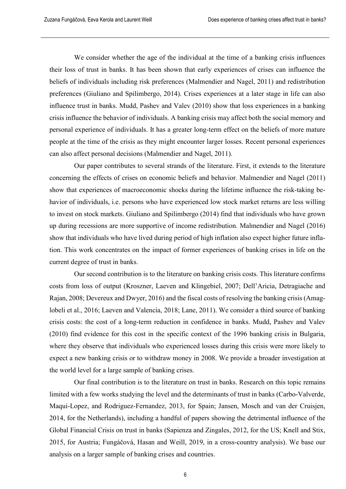We consider whether the age of the individual at the time of a banking crisis influences their loss of trust in banks. It has been shown that early experiences of crises can influence the beliefs of individuals including risk preferences (Malmendier and Nagel, 2011) and redistribution preferences (Giuliano and Spilimbergo, 2014). Crises experiences at a later stage in life can also influence trust in banks. Mudd, Pashev and Valev (2010) show that loss experiences in a banking crisis influence the behavior of individuals. A banking crisis may affect both the social memory and personal experience of individuals. It has a greater long-term effect on the beliefs of more mature people at the time of the crisis as they might encounter larger losses. Recent personal experiences can also affect personal decisions (Malmendier and Nagel, 2011).

Our paper contributes to several strands of the literature. First, it extends to the literature concerning the effects of crises on economic beliefs and behavior. Malmendier and Nagel (2011) show that experiences of macroeconomic shocks during the lifetime influence the risk-taking behavior of individuals, i.e. persons who have experienced low stock market returns are less willing to invest on stock markets. Giuliano and Spilimbergo (2014) find that individuals who have grown up during recessions are more supportive of income redistribution. Malmendier and Nagel (2016) show that individuals who have lived during period of high inflation also expect higher future inflation. This work concentrates on the impact of former experiences of banking crises in life on the current degree of trust in banks.

Our second contribution is to the literature on banking crisis costs. This literature confirms costs from loss of output (Kroszner, Laeven and Klingebiel, 2007; Dell'Aricia, Detragiache and Rajan, 2008; Devereux and Dwyer, 2016) and the fiscal costs of resolving the banking crisis (Amaglobeli et al., 2016; Laeven and Valencia, 2018; Lane, 2011). We consider a third source of banking crisis costs: the cost of a long-term reduction in confidence in banks. Mudd, Pashev and Valev (2010) find evidence for this cost in the specific context of the 1996 banking crisis in Bulgaria, where they observe that individuals who experienced losses during this crisis were more likely to expect a new banking crisis or to withdraw money in 2008. We provide a broader investigation at the world level for a large sample of banking crises.

Our final contribution is to the literature on trust in banks. Research on this topic remains limited with a few works studying the level and the determinants of trust in banks (Carbo-Valverde, Maqui-Lopez, and Rodriguez-Fernandez, 2013, for Spain; Jansen, Mosch and van der Cruisjen, 2014, for the Netherlands), including a handful of papers showing the detrimental influence of the Global Financial Crisis on trust in banks (Sapienza and Zingales, 2012, for the US; Knell and Stix, 2015, for Austria; Fungáčová, Hasan and Weill, 2019, in a cross-country analysis). We base our analysis on a larger sample of banking crises and countries.

6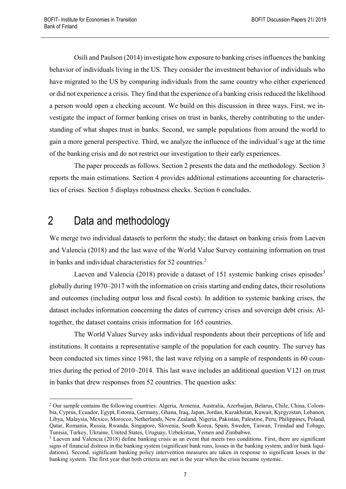Osili and Paulson (2014) investigate how exposure to banking crises influences the banking behavior of individuals living in the US. They consider the investment behavior of individuals who have migrated to the US by comparing individuals from the same country who either experienced or did not experience a crisis. They find that the experience of a banking crisis reduced the likelihood a person would open a checking account. We build on this discussion in three ways. First, we investigate the impact of former banking crises on trust in banks, thereby contributing to the understanding of what shapes trust in banks. Second, we sample populations from around the world to gain a more general perspective. Third, we analyze the influence of the individual's age at the time of the banking crisis and do not restrict our investigation to their early experiences.

The paper proceeds as follows. Section 2 presents the data and the methodology. Section 3 reports the main estimations. Section 4 provides additional estimations accounting for characteristics of crises. Section 5 displays robustness checks. Section 6 concludes.

## <span id="page-6-0"></span>2 Data and methodology

We merge two individual datasets to perform the study; the dataset on banking crisis from Laeven and Valencia (2018) and the last wave of the World Value Survey containing information on trust in banks and individual characteristics for  $52$  $52$  countries.<sup>2</sup>

Laeven and Valencia (2018) provide a dataset of 151 systemic banking crises episodes<sup>[3](#page-6-2)</sup> globally during 1970–2017 with the information on crisis starting and ending dates, their resolutions and outcomes (including output loss and fiscal costs). In addition to systemic banking crises, the dataset includes information concerning the dates of currency crises and sovereign debt crisis. Altogether, the dataset contains crisis information for 165 countries.

The World Values Survey asks individual respondents about their perceptions of life and institutions. It contains a representative sample of the population for each country. The survey has been conducted six times since 1981, the last wave relying on a sample of respondents in 60 countries during the period of 2010–2014. This last wave includes an additional question V121 on trust in banks that drew responses from 52 countries. The question asks:

<span id="page-6-1"></span> <sup>2</sup> Our sample contains the following countries: Algeria, Armenia, Australia, Azerbaijan, Belarus, Chile, China, Colombia, Cyprus, Ecuador, Egypt, Estonia, Germany, Ghana, Iraq, Japan, Jordan, Kazakhstan, Kuwait, Kyrgyzstan, Lebanon, Libya, Malaysia, Mexico, Morocco, Netherlands, New Zealand, Nigeria, Pakistan, Palestine, Peru, Philippines, Poland, Qatar, Romania, Russia, Rwanda, Singapore, Slovenia, South Korea, Spain, Sweden, Taiwan, Trinidad and Tobago, Tunisia, Turkey, Ukraine, United States, Uruguay, Uzbekistan, Yemen and Zimbabwe.

<span id="page-6-2"></span><sup>&</sup>lt;sup>3</sup> Laeven and Valencia (2018) define banking crisis as an event that meets two conditions. First, there are significant signs of financial distress in the banking system (significant bank runs, losses in the banking system, and/or bank liquidations). Second, significant banking policy intervention measures are taken in response to significant losses in the banking system. The first year that both criteria are met is the year when the crisis became systemic.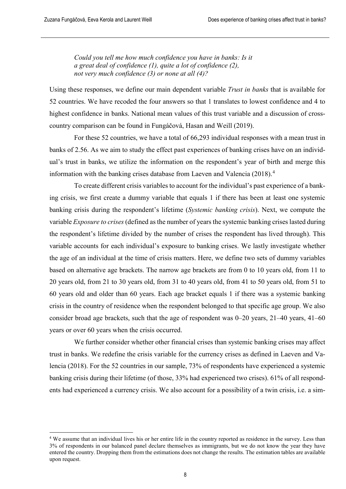*Could you tell me how much confidence you have in banks: Is it a great deal of confidence (1), quite a lot of confidence (2), not very much confidence (3) or none at all (4)?*

Using these responses, we define our main dependent variable *Trust in banks* that is available for 52 countries. We have recoded the four answers so that 1 translates to lowest confidence and 4 to highest confidence in banks. National mean values of this trust variable and a discussion of crosscountry comparison can be found in Fungáčová, Hasan and Weill (2019).

For these 52 countries, we have a total of 66,293 individual responses with a mean trust in banks of 2.56. As we aim to study the effect past experiences of banking crises have on an individual's trust in banks, we utilize the information on the respondent's year of birth and merge this information with the banking crises database from Laeven and Valencia (2018).<sup>[4](#page-7-0)</sup>

To create different crisis variables to account for the individual's past experience of a banking crisis, we first create a dummy variable that equals 1 if there has been at least one systemic banking crisis during the respondent's lifetime (*Systemic banking crisis*). Next, we compute the variable *Exposure to crises*(defined as the number of years the systemic banking crises lasted during the respondent's lifetime divided by the number of crises the respondent has lived through). This variable accounts for each individual's exposure to banking crises. We lastly investigate whether the age of an individual at the time of crisis matters. Here, we define two sets of dummy variables based on alternative age brackets. The narrow age brackets are from 0 to 10 years old, from 11 to 20 years old, from 21 to 30 years old, from 31 to 40 years old, from 41 to 50 years old, from 51 to 60 years old and older than 60 years. Each age bracket equals 1 if there was a systemic banking crisis in the country of residence when the respondent belonged to that specific age group. We also consider broad age brackets, such that the age of respondent was 0–20 years, 21–40 years, 41–60 years or over 60 years when the crisis occurred.

We further consider whether other financial crises than systemic banking crises may affect trust in banks. We redefine the crisis variable for the currency crises as defined in Laeven and Valencia (2018). For the 52 countries in our sample, 73% of respondents have experienced a systemic banking crisis during their lifetime (of those, 33% had experienced two crises). 61% of all respondents had experienced a currency crisis. We also account for a possibility of a twin crisis, i.e. a sim-

<span id="page-7-0"></span><sup>&</sup>lt;sup>4</sup> We assume that an individual lives his or her entire life in the country reported as residence in the survey. Less than 3% of respondents in our balanced panel declare themselves as immigrants, but we do not know the year they have entered the country. Dropping them from the estimations does not change the results. The estimation tables are available upon request.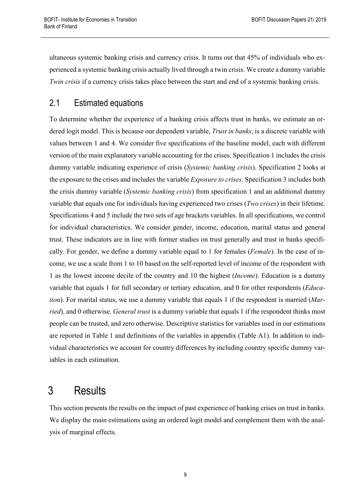ultaneous systemic banking crisis and currency crisis. It turns out that 45% of individuals who experienced a systemic banking crisis actually lived through a twin crisis. We create a dummy variable *Twin crisis* if a currency crisis takes place between the start and end of a systemic banking crisis.

## <span id="page-8-0"></span>2.1 Estimated equations

To determine whether the experience of a banking crisis affects trust in banks, we estimate an ordered logit model. This is because our dependent variable, *Trust in banks*, is a discrete variable with values between 1 and 4. We consider five specifications of the baseline model, each with different version of the main explanatory variable accounting for the crises. Specification 1 includes the crisis dummy variable indicating experience of crisis (*Systemic banking crisis*). Specification 2 looks at the exposure to the crises and includes the variable *Exposure to crises*. Specification 3 includes both the crisis dummy variable (*Systemic banking crisis*) from specification 1 and an additional dummy variable that equals one for individuals having experienced two crises (*Two crises*) in their lifetime. Specifications 4 and 5 include the two sets of age brackets variables. In all specifications, we control for individual characteristics. We consider gender, income, education, marital status and general trust. These indicators are in line with former studies on trust generally and trust in banks specifically. For gender, we define a dummy variable equal to 1 for females (*Female*). In the case of income, we use a scale from 1 to 10 based on the self-reported level of income of the respondent with 1 as the lowest income decile of the country and 10 the highest (*Income*). Education is a dummy variable that equals 1 for full secondary or tertiary education, and 0 for other respondents (*Education*). For marital status, we use a dummy variable that equals 1 if the respondent is married (*Married*), and 0 otherwise. *General trust* is a dummy variable that equals 1 if the respondent thinks most people can be trusted, and zero otherwise. Descriptive statistics for variables used in our estimations are reported in Table 1 and definitions of the variables in appendix (Table A1). In addition to individual characteristics we account for country differences by including country specific dummy variables in each estimation.

# <span id="page-8-1"></span>3 Results

This section presents the results on the impact of past experience of banking crises on trust in banks. We display the main estimations using an ordered logit model and complement them with the analysis of marginal effects.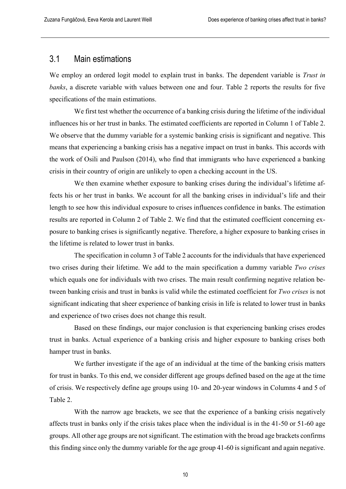## <span id="page-9-0"></span>3.1 Main estimations

We employ an ordered logit model to explain trust in banks. The dependent variable is *Trust in banks*, a discrete variable with values between one and four. Table 2 reports the results for five specifications of the main estimations.

We first test whether the occurrence of a banking crisis during the lifetime of the individual influences his or her trust in banks. The estimated coefficients are reported in Column 1 of Table 2. We observe that the dummy variable for a systemic banking crisis is significant and negative. This means that experiencing a banking crisis has a negative impact on trust in banks. This accords with the work of Osili and Paulson (2014), who find that immigrants who have experienced a banking crisis in their country of origin are unlikely to open a checking account in the US.

We then examine whether exposure to banking crises during the individual's lifetime affects his or her trust in banks. We account for all the banking crises in individual's life and their length to see how this individual exposure to crises influences confidence in banks. The estimation results are reported in Column 2 of Table 2. We find that the estimated coefficient concerning exposure to banking crises is significantly negative. Therefore, a higher exposure to banking crises in the lifetime is related to lower trust in banks.

The specification in column 3 of Table 2 accounts for the individuals that have experienced two crises during their lifetime. We add to the main specification a dummy variable *Two crises*  which equals one for individuals with two crises. The main result confirming negative relation between banking crisis and trust in banks is valid while the estimated coefficient for *Two crises* is not significant indicating that sheer experience of banking crisis in life is related to lower trust in banks and experience of two crises does not change this result.

Based on these findings, our major conclusion is that experiencing banking crises erodes trust in banks. Actual experience of a banking crisis and higher exposure to banking crises both hamper trust in banks.

We further investigate if the age of an individual at the time of the banking crisis matters for trust in banks. To this end, we consider different age groups defined based on the age at the time of crisis. We respectively define age groups using 10- and 20-year windows in Columns 4 and 5 of Table 2.

With the narrow age brackets, we see that the experience of a banking crisis negatively affects trust in banks only if the crisis takes place when the individual is in the 41-50 or 51-60 age groups. All other age groups are not significant. The estimation with the broad age brackets confirms this finding since only the dummy variable for the age group 41-60 is significant and again negative.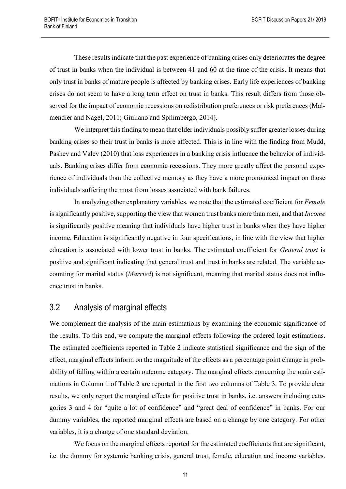These results indicate that the past experience of banking crises only deteriorates the degree of trust in banks when the individual is between 41 and 60 at the time of the crisis. It means that only trust in banks of mature people is affected by banking crises. Early life experiences of banking crises do not seem to have a long term effect on trust in banks. This result differs from those observed for the impact of economic recessions on redistribution preferences or risk preferences (Malmendier and Nagel, 2011; Giuliano and Spilimbergo, 2014).

We interpret this finding to mean that older individuals possibly suffer greater losses during banking crises so their trust in banks is more affected. This is in line with the finding from Mudd, Pashev and Valev (2010) that loss experiences in a banking crisis influence the behavior of individuals. Banking crises differ from economic recessions. They more greatly affect the personal experience of individuals than the collective memory as they have a more pronounced impact on those individuals suffering the most from losses associated with bank failures.

In analyzing other explanatory variables, we note that the estimated coefficient for *Female* is significantly positive, supporting the view that women trust banks more than men, and that *Income* is significantly positive meaning that individuals have higher trust in banks when they have higher income. Education is significantly negative in four specifications, in line with the view that higher education is associated with lower trust in banks. The estimated coefficient for *General trust* is positive and significant indicating that general trust and trust in banks are related. The variable accounting for marital status (*Married*) is not significant, meaning that marital status does not influence trust in banks.

## <span id="page-10-0"></span>3.2 Analysis of marginal effects

We complement the analysis of the main estimations by examining the economic significance of the results. To this end, we compute the marginal effects following the ordered logit estimations. The estimated coefficients reported in Table 2 indicate statistical significance and the sign of the effect, marginal effects inform on the magnitude of the effects as a percentage point change in probability of falling within a certain outcome category. The marginal effects concerning the main estimations in Column 1 of Table 2 are reported in the first two columns of Table 3. To provide clear results, we only report the marginal effects for positive trust in banks, i.e. answers including categories 3 and 4 for "quite a lot of confidence" and "great deal of confidence" in banks. For our dummy variables, the reported marginal effects are based on a change by one category. For other variables, it is a change of one standard deviation.

We focus on the marginal effects reported for the estimated coefficients that are significant, i.e. the dummy for systemic banking crisis, general trust, female, education and income variables.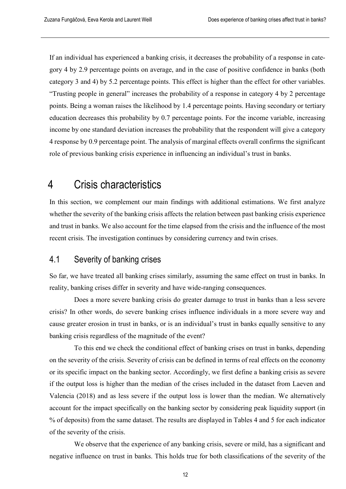If an individual has experienced a banking crisis, it decreases the probability of a response in category 4 by 2.9 percentage points on average, and in the case of positive confidence in banks (both category 3 and 4) by 5.2 percentage points. This effect is higher than the effect for other variables. "Trusting people in general" increases the probability of a response in category 4 by 2 percentage points. Being a woman raises the likelihood by 1.4 percentage points. Having secondary or tertiary education decreases this probability by 0.7 percentage points. For the income variable, increasing income by one standard deviation increases the probability that the respondent will give a category 4 response by 0.9 percentage point. The analysis of marginal effects overall confirms the significant role of previous banking crisis experience in influencing an individual's trust in banks.

## <span id="page-11-0"></span>4 Crisis characteristics

In this section, we complement our main findings with additional estimations. We first analyze whether the severity of the banking crisis affects the relation between past banking crisis experience and trust in banks. We also account for the time elapsed from the crisis and the influence of the most recent crisis. The investigation continues by considering currency and twin crises.

## <span id="page-11-1"></span>4.1 Severity of banking crises

So far, we have treated all banking crises similarly, assuming the same effect on trust in banks. In reality, banking crises differ in severity and have wide-ranging consequences.

Does a more severe banking crisis do greater damage to trust in banks than a less severe crisis? In other words, do severe banking crises influence individuals in a more severe way and cause greater erosion in trust in banks, or is an individual's trust in banks equally sensitive to any banking crisis regardless of the magnitude of the event?

To this end we check the conditional effect of banking crises on trust in banks, depending on the severity of the crisis. Severity of crisis can be defined in terms of real effects on the economy or its specific impact on the banking sector. Accordingly, we first define a banking crisis as severe if the output loss is higher than the median of the crises included in the dataset from Laeven and Valencia (2018) and as less severe if the output loss is lower than the median. We alternatively account for the impact specifically on the banking sector by considering peak liquidity support (in % of deposits) from the same dataset. The results are displayed in Tables 4 and 5 for each indicator of the severity of the crisis.

We observe that the experience of any banking crisis, severe or mild, has a significant and negative influence on trust in banks. This holds true for both classifications of the severity of the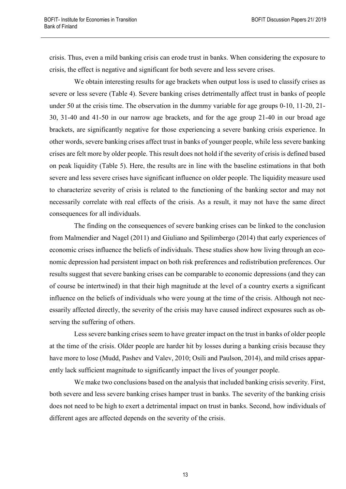crisis. Thus, even a mild banking crisis can erode trust in banks. When considering the exposure to crisis, the effect is negative and significant for both severe and less severe crises.

We obtain interesting results for age brackets when output loss is used to classify crises as severe or less severe (Table 4). Severe banking crises detrimentally affect trust in banks of people under 50 at the crisis time. The observation in the dummy variable for age groups 0-10, 11-20, 21- 30, 31-40 and 41-50 in our narrow age brackets, and for the age group 21-40 in our broad age brackets, are significantly negative for those experiencing a severe banking crisis experience. In other words, severe banking crises affect trust in banks of younger people, while less severe banking crises are felt more by older people. This result does not hold if the severity of crisis is defined based on peak liquidity (Table 5). Here, the results are in line with the baseline estimations in that both severe and less severe crises have significant influence on older people. The liquidity measure used to characterize severity of crisis is related to the functioning of the banking sector and may not necessarily correlate with real effects of the crisis. As a result, it may not have the same direct consequences for all individuals.

The finding on the consequences of severe banking crises can be linked to the conclusion from Malmendier and Nagel (2011) and Giuliano and Spilimbergo (2014) that early experiences of economic crises influence the beliefs of individuals. These studies show how living through an economic depression had persistent impact on both risk preferences and redistribution preferences. Our results suggest that severe banking crises can be comparable to economic depressions (and they can of course be intertwined) in that their high magnitude at the level of a country exerts a significant influence on the beliefs of individuals who were young at the time of the crisis. Although not necessarily affected directly, the severity of the crisis may have caused indirect exposures such as observing the suffering of others.

Less severe banking crises seem to have greater impact on the trust in banks of older people at the time of the crisis. Older people are harder hit by losses during a banking crisis because they have more to lose (Mudd, Pashev and Valev, 2010; Osili and Paulson, 2014), and mild crises apparently lack sufficient magnitude to significantly impact the lives of younger people.

We make two conclusions based on the analysis that included banking crisis severity. First, both severe and less severe banking crises hamper trust in banks. The severity of the banking crisis does not need to be high to exert a detrimental impact on trust in banks. Second, how individuals of different ages are affected depends on the severity of the crisis.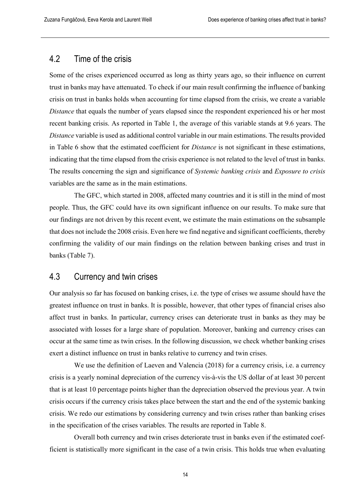## <span id="page-13-0"></span>4.2 Time of the crisis

Some of the crises experienced occurred as long as thirty years ago, so their influence on current trust in banks may have attenuated. To check if our main result confirming the influence of banking crisis on trust in banks holds when accounting for time elapsed from the crisis, we create a variable *Distance* that equals the number of years elapsed since the respondent experienced his or her most recent banking crisis. As reported in Table 1, the average of this variable stands at 9.6 years. The *Distance* variable is used as additional control variable in our main estimations. The results provided in Table 6 show that the estimated coefficient for *Distance* is not significant in these estimations, indicating that the time elapsed from the crisis experience is not related to the level of trust in banks. The results concerning the sign and significance of *Systemic banking crisis* and *Exposure to crisis* variables are the same as in the main estimations.

The GFC, which started in 2008, affected many countries and it is still in the mind of most people. Thus, the GFC could have its own significant influence on our results. To make sure that our findings are not driven by this recent event, we estimate the main estimations on the subsample that does not include the 2008 crisis. Even here we find negative and significant coefficients, thereby confirming the validity of our main findings on the relation between banking crises and trust in banks (Table 7).

## <span id="page-13-1"></span>4.3 Currency and twin crises

Our analysis so far has focused on banking crises, i.e. the type of crises we assume should have the greatest influence on trust in banks. It is possible, however, that other types of financial crises also affect trust in banks. In particular, currency crises can deteriorate trust in banks as they may be associated with losses for a large share of population. Moreover, banking and currency crises can occur at the same time as twin crises. In the following discussion, we check whether banking crises exert a distinct influence on trust in banks relative to currency and twin crises.

We use the definition of Laeven and Valencia (2018) for a currency crisis, i.e. a currency crisis is a yearly nominal depreciation of the currency vis-à-vis the US dollar of at least 30 percent that is at least 10 percentage points higher than the depreciation observed the previous year. A twin crisis occurs if the currency crisis takes place between the start and the end of the systemic banking crisis. We redo our estimations by considering currency and twin crises rather than banking crises in the specification of the crises variables. The results are reported in Table 8.

Overall both currency and twin crises deteriorate trust in banks even if the estimated coefficient is statistically more significant in the case of a twin crisis. This holds true when evaluating

14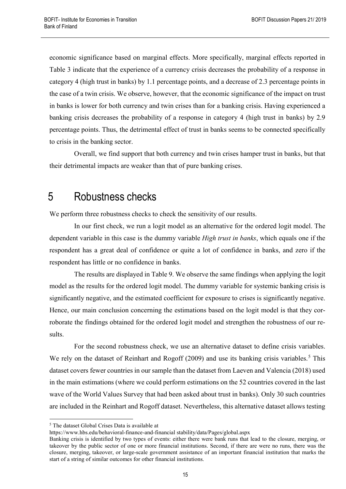economic significance based on marginal effects. More specifically, marginal effects reported in Table 3 indicate that the experience of a currency crisis decreases the probability of a response in category 4 (high trust in banks) by 1.1 percentage points, and a decrease of 2.3 percentage points in the case of a twin crisis. We observe, however, that the economic significance of the impact on trust in banks is lower for both currency and twin crises than for a banking crisis. Having experienced a banking crisis decreases the probability of a response in category 4 (high trust in banks) by 2.9 percentage points. Thus, the detrimental effect of trust in banks seems to be connected specifically to crisis in the banking sector.

Overall, we find support that both currency and twin crises hamper trust in banks, but that their detrimental impacts are weaker than that of pure banking crises.

## <span id="page-14-0"></span>5 Robustness checks

We perform three robustness checks to check the sensitivity of our results.

In our first check, we run a logit model as an alternative for the ordered logit model. The dependent variable in this case is the dummy variable *High trust in banks*, which equals one if the respondent has a great deal of confidence or quite a lot of confidence in banks, and zero if the respondent has little or no confidence in banks.

The results are displayed in Table 9. We observe the same findings when applying the logit model as the results for the ordered logit model. The dummy variable for systemic banking crisis is significantly negative, and the estimated coefficient for exposure to crises is significantly negative. Hence, our main conclusion concerning the estimations based on the logit model is that they corroborate the findings obtained for the ordered logit model and strengthen the robustness of our results.

For the second robustness check, we use an alternative dataset to define crisis variables. We rely on the dataset of Reinhart and Rogoff  $(2009)$  and use its banking crisis variables.<sup>[5](#page-14-1)</sup> This dataset covers fewer countries in our sample than the dataset from Laeven and Valencia (2018) used in the main estimations (where we could perform estimations on the 52 countries covered in the last wave of the World Values Survey that had been asked about trust in banks). Only 30 such countries are included in the Reinhart and Rogoff dataset. Nevertheless, this alternative dataset allows testing

<span id="page-14-1"></span> <sup>5</sup> The dataset Global Crises Data is available at

https://www.hbs.edu/behavioral-finance-and-financial stability/data/Pages/global.aspx

Banking crisis is identified by two types of events: either there were bank runs that lead to the closure, merging, or takeover by the public sector of one or more financial institutions. Second, if there are were no runs, there was the closure, merging, takeover, or large-scale government assistance of an important financial institution that marks the start of a string of similar outcomes for other financial institutions.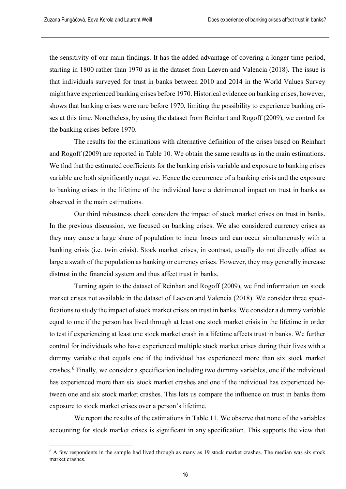the sensitivity of our main findings. It has the added advantage of covering a longer time period, starting in 1800 rather than 1970 as in the dataset from Laeven and Valencia (2018). The issue is that individuals surveyed for trust in banks between 2010 and 2014 in the World Values Survey might have experienced banking crises before 1970. Historical evidence on banking crises, however, shows that banking crises were rare before 1970, limiting the possibility to experience banking crises at this time. Nonetheless, by using the dataset from Reinhart and Rogoff (2009), we control for the banking crises before 1970.

The results for the estimations with alternative definition of the crises based on Reinhart and Rogoff (2009) are reported in Table 10. We obtain the same results as in the main estimations. We find that the estimated coefficients for the banking crisis variable and exposure to banking crises variable are both significantly negative. Hence the occurrence of a banking crisis and the exposure to banking crises in the lifetime of the individual have a detrimental impact on trust in banks as observed in the main estimations.

Our third robustness check considers the impact of stock market crises on trust in banks. In the previous discussion, we focused on banking crises. We also considered currency crises as they may cause a large share of population to incur losses and can occur simultaneously with a banking crisis (i.e. twin crisis). Stock market crises, in contrast, usually do not directly affect as large a swath of the population as banking or currency crises. However, they may generally increase distrust in the financial system and thus affect trust in banks.

Turning again to the dataset of Reinhart and Rogoff (2009), we find information on stock market crises not available in the dataset of Laeven and Valencia (2018). We consider three specifications to study the impact of stock market crises on trust in banks. We consider a dummy variable equal to one if the person has lived through at least one stock market crisis in the lifetime in order to test if experiencing at least one stock market crash in a lifetime affects trust in banks. We further control for individuals who have experienced multiple stock market crises during their lives with a dummy variable that equals one if the individual has experienced more than six stock market crashes.<sup>[6](#page-15-0)</sup> Finally, we consider a specification including two dummy variables, one if the individual has experienced more than six stock market crashes and one if the individual has experienced between one and six stock market crashes. This lets us compare the influence on trust in banks from exposure to stock market crises over a person's lifetime.

We report the results of the estimations in Table 11. We observe that none of the variables accounting for stock market crises is significant in any specification. This supports the view that

<span id="page-15-0"></span> $6$  A few respondents in the sample had lived through as many as 19 stock market crashes. The median was six stock market crashes.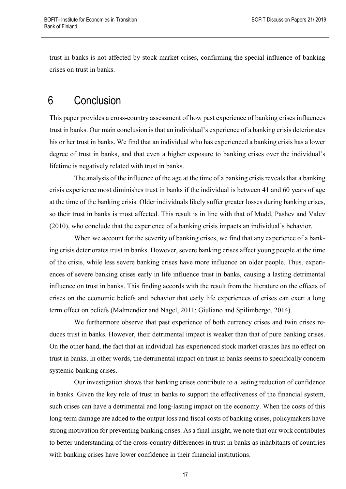trust in banks is not affected by stock market crises, confirming the special influence of banking crises on trust in banks.

# <span id="page-16-0"></span>6 Conclusion

This paper provides a cross-country assessment of how past experience of banking crises influences trust in banks. Our main conclusion is that an individual's experience of a banking crisis deteriorates his or her trust in banks. We find that an individual who has experienced a banking crisis has a lower degree of trust in banks, and that even a higher exposure to banking crises over the individual's lifetime is negatively related with trust in banks.

The analysis of the influence of the age at the time of a banking crisis reveals that a banking crisis experience most diminishes trust in banks if the individual is between 41 and 60 years of age at the time of the banking crisis. Older individuals likely suffer greater losses during banking crises, so their trust in banks is most affected. This result is in line with that of Mudd, Pashev and Valev (2010), who conclude that the experience of a banking crisis impacts an individual's behavior.

When we account for the severity of banking crises, we find that any experience of a banking crisis deteriorates trust in banks. However, severe banking crises affect young people at the time of the crisis, while less severe banking crises have more influence on older people. Thus, experiences of severe banking crises early in life influence trust in banks, causing a lasting detrimental influence on trust in banks. This finding accords with the result from the literature on the effects of crises on the economic beliefs and behavior that early life experiences of crises can exert a long term effect on beliefs (Malmendier and Nagel, 2011; Giuliano and Spilimbergo, 2014).

We furthermore observe that past experience of both currency crises and twin crises reduces trust in banks. However, their detrimental impact is weaker than that of pure banking crises. On the other hand, the fact that an individual has experienced stock market crashes has no effect on trust in banks. In other words, the detrimental impact on trust in banks seems to specifically concern systemic banking crises.

Our investigation shows that banking crises contribute to a lasting reduction of confidence in banks. Given the key role of trust in banks to support the effectiveness of the financial system, such crises can have a detrimental and long-lasting impact on the economy. When the costs of this long-term damage are added to the output loss and fiscal costs of banking crises, policymakers have strong motivation for preventing banking crises. As a final insight, we note that our work contributes to better understanding of the cross-country differences in trust in banks as inhabitants of countries with banking crises have lower confidence in their financial institutions.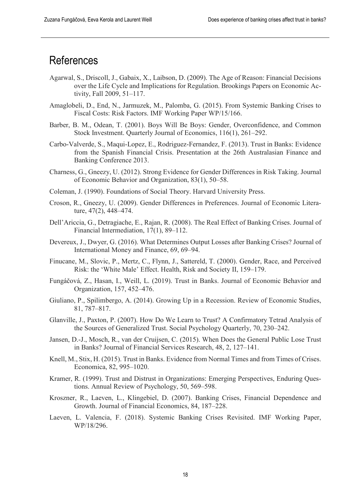## <span id="page-17-0"></span>**References**

- Agarwal, S., Driscoll, J., Gabaix, X., Laibson, D. (2009). The Age of Reason: Financial Decisions over the Life Cycle and Implications for Regulation. Brookings Papers on Economic Activity, Fall 2009, 51–117.
- Amaglobeli, D., End, N., Jarmuzek, M., Palomba, G. (2015). From Systemic Banking Crises to Fiscal Costs: Risk Factors. IMF Working Paper WP/15/166.
- Barber, B. M., Odean, T. (2001). Boys Will Be Boys: Gender, Overconfidence, and Common Stock Investment. Quarterly Journal of Economics, 116(1), 261–292.
- Carbo-Valverde, S., Maqui-Lopez, E., Rodriguez-Fernandez, F. (2013). Trust in Banks: Evidence from the Spanish Financial Crisis. Presentation at the 26th Australasian Finance and Banking Conference 2013.
- Charness, G., Gneezy, U. (2012). Strong Evidence for Gender Differences in Risk Taking. Journal of Economic Behavior and Organization, 83(1), 50–58.
- Coleman, J. (1990). Foundations of Social Theory. Harvard University Press.
- Croson, R., Gneezy, U. (2009). Gender Differences in Preferences. Journal of Economic Literature, 47(2), 448–474.
- Dell'Ariccia, G., Detragiache, E., Rajan, R. (2008). The Real Effect of Banking Crises. Journal of Financial Intermediation, 17(1), 89–112.
- Devereux, J., Dwyer, G. (2016). What Determines Output Losses after Banking Crises? Journal of International Money and Finance, 69, 69–94.
- Finucane, M., Slovic, P., Mertz, C., Flynn, J., Sattereld, T. (2000). Gender, Race, and Perceived Risk: the 'White Male' Effect. Health, Risk and Society II, 159–179.
- Fungáčová, Z., Hasan, I., Weill, L. (2019). Trust in Banks. Journal of Economic Behavior and Organization, 157, 452–476.
- Giuliano, P., Spilimbergo, A. (2014). Growing Up in a Recession. Review of Economic Studies, 81, 787–817.
- Glanville, J., Paxton, P. (2007). How Do We Learn to Trust? A Confirmatory Tetrad Analysis of the Sources of Generalized Trust. Social Psychology Quarterly, 70, 230–242.
- Jansen, D.-J., Mosch, R., van der Cruijsen, C. (2015). When Does the General Public Lose Trust in Banks? Journal of Financial Services Research, 48, 2, 127–141.
- Knell, M., Stix, H. (2015). Trust in Banks. Evidence from Normal Times and from Times of Crises. Economica, 82, 995–1020.
- Kramer, R. (1999). Trust and Distrust in Organizations: Emerging Perspectives, Enduring Questions. Annual Review of Psychology, 50, 569–598.
- Kroszner, R., Laeven, L., Klingebiel, D. (2007). Banking Crises, Financial Dependence and Growth. Journal of Financial Economics, 84, 187–228.
- Laeven, L. Valencia, F. (2018). Systemic Banking Crises Revisited. IMF Working Paper, WP/18/296.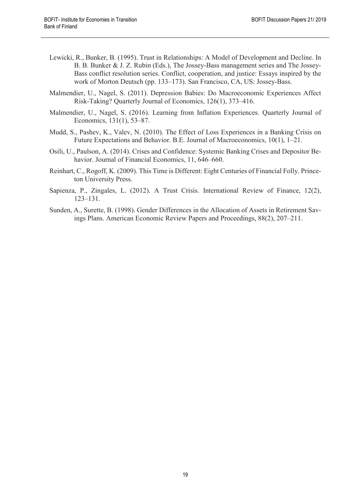- Lewicki, R., Bunker, B. (1995). Trust in Relationships: A Model of Development and Decline. In B. B. Bunker & J. Z. Rubin (Eds.), The Jossey-Bass management series and The Jossey-Bass conflict resolution series. Conflict, cooperation, and justice: Essays inspired by the work of Morton Deutsch (pp. 133–173). San Francisco, CA, US: Jossey-Bass.
- Malmendier, U., Nagel, S. (2011). Depression Babies: Do Macroeconomic Experiences Affect Risk-Taking? Quarterly Journal of Economics, 126(1), 373–416.
- Malmendier, U., Nagel, S. (2016). Learning from Inflation Experiences. Quarterly Journal of Economics, 131(1), 53–87.
- Mudd, S., Pashev, K., Valev, N. (2010). The Effect of Loss Experiences in a Banking Crisis on Future Expectations and Behavior. B.E. Journal of Macroeconomics, 10(1), 1–21.
- Osili, U., Paulson, A. (2014). Crises and Confidence: Systemic Banking Crises and Depositor Behavior. Journal of Financial Economics, 11, 646–660.
- Reinhart, C., Rogoff, K. (2009). This Time is Different: Eight Centuries of Financial Folly. Princeton University Press.
- Sapienza, P., Zingales, L. (2012). A Trust Crisis. International Review of Finance, 12(2), 123–131.
- Sunden, A., Surette, B. (1998). Gender Differences in the Allocation of Assets in Retirement Savings Plans. American Economic Review Papers and Proceedings, 88(2), 207–211.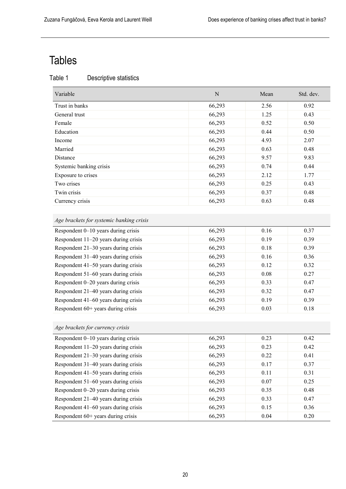# <span id="page-19-0"></span>Tables

| Descriptive statistics |
|------------------------|

| Variable                | N      | Mean | Std. dev. |
|-------------------------|--------|------|-----------|
| Trust in banks          | 66,293 | 2.56 | 0.92      |
| General trust           | 66,293 | 1.25 | 0.43      |
| Female                  | 66,293 | 0.52 | 0.50      |
| Education               | 66,293 | 0.44 | 0.50      |
| Income                  | 66,293 | 4.93 | 2.07      |
| Married                 | 66,293 | 0.63 | 0.48      |
| Distance                | 66,293 | 9.57 | 9.83      |
| Systemic banking crisis | 66,293 | 0.74 | 0.44      |
| Exposure to crises      | 66,293 | 2.12 | 1.77      |
| Two crises              | 66,293 | 0.25 | 0.43      |
| Twin crisis             | 66,293 | 0.37 | 0.48      |
| Currency crisis         | 66,293 | 0.63 | 0.48      |

# *Age brackets for systemic banking crisis*

| Respondent 0-10 years during crisis  | 66,293 | 0.16 | 0.37 |
|--------------------------------------|--------|------|------|
| Respondent 11-20 years during crisis | 66,293 | 0.19 | 0.39 |
| Respondent 21-30 years during crisis | 66,293 | 0.18 | 0.39 |
| Respondent 31-40 years during crisis | 66,293 | 0.16 | 0.36 |
| Respondent 41–50 years during crisis | 66,293 | 0.12 | 0.32 |
| Respondent 51–60 years during crisis | 66,293 | 0.08 | 0.27 |
| Respondent 0-20 years during crisis  | 66,293 | 0.33 | 0.47 |
| Respondent 21-40 years during crisis | 66,293 | 0.32 | 0.47 |
| Respondent 41–60 years during crisis | 66,293 | 0.19 | 0.39 |
| Respondent 60+ years during crisis   | 66,293 | 0.03 | 0.18 |

| Age brackets for currency crisis     |        |      |      |
|--------------------------------------|--------|------|------|
| Respondent 0-10 years during crisis  | 66,293 | 0.23 | 0.42 |
| Respondent 11-20 years during crisis | 66,293 | 0.23 | 0.42 |
| Respondent 21-30 years during crisis | 66,293 | 0.22 | 0.41 |
| Respondent 31–40 years during crisis | 66,293 | 0.17 | 0.37 |
| Respondent 41-50 years during crisis | 66,293 | 0.11 | 0.31 |
| Respondent 51–60 years during crisis | 66,293 | 0.07 | 0.25 |
| Respondent 0-20 years during crisis  | 66,293 | 0.35 | 0.48 |
| Respondent 21-40 years during crisis | 66,293 | 0.33 | 0.47 |
| Respondent 41–60 years during crisis | 66,293 | 0.15 | 0.36 |
| Respondent $60+$ years during crisis | 66,293 | 0.04 | 0.20 |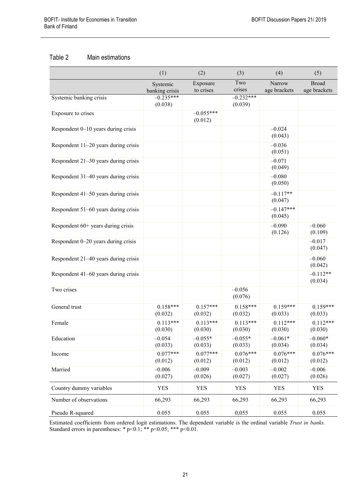#### Table 2 Main estimations

|                                      | (1)                        | (2)                    | (3)                    | (4)                    | (5)                          |
|--------------------------------------|----------------------------|------------------------|------------------------|------------------------|------------------------------|
|                                      | Systemic<br>banking crisis | Exposure<br>to crises  | Two<br>crises          | Narrow<br>age brackets | <b>Broad</b><br>age brackets |
| Systemic banking crisis              | $-0.235***$<br>(0.038)     |                        | $-0.232***$<br>(0.039) |                        |                              |
| Exposure to crises                   |                            | $-0.055***$<br>(0.012) |                        |                        |                              |
| Respondent 0–10 years during crisis  |                            |                        |                        | $-0.024$<br>(0.043)    |                              |
| Respondent 11-20 years during crisis |                            |                        |                        | $-0.036$<br>(0.051)    |                              |
| Respondent 21-30 years during crisis |                            |                        |                        | $-0.071$<br>(0.049)    |                              |
| Respondent 31-40 years during crisis |                            |                        |                        | $-0.080$<br>(0.050)    |                              |
| Respondent 41-50 years during crisis |                            |                        |                        | $-0.117**$<br>(0.047)  |                              |
| Respondent 51-60 years during crisis |                            |                        |                        | $-0.147***$<br>(0.045) |                              |
| Respondent 60+ years during crisis   |                            |                        |                        | $-0.090$<br>(0.126)    | $-0.060$<br>(0.109)          |
| Respondent 0-20 years during crisis  |                            |                        |                        |                        | $-0.017$<br>(0.047)          |
| Respondent 21-40 years during crisis |                            |                        |                        |                        | $-0.060$<br>(0.042)          |
| Respondent 41-60 years during crisis |                            |                        |                        |                        | $-0.112**$<br>(0.034)        |
| Two crises                           |                            |                        | $-0.056$<br>(0.076)    |                        |                              |
| General trust                        | $0.158***$<br>(0.032)      | $0.157***$<br>(0.032)  | $0.158***$<br>(0.032)  | $0.159***$<br>(0.033)  | $0.159***$<br>(0.033)        |
| Female                               | $0.113***$<br>(0.030)      | $0.113***$<br>(0.030)  | $0.113***$<br>(0.030)  | $0.112***$<br>(0.030)  | $0.112***$<br>(0.030)        |
| Education                            | $-0.054$<br>(0.033)        | $-0.055*$<br>(0.033)   | $-0.055*$<br>(0.033)   | $-0.061*$<br>(0.034)   | $-0.060*$<br>(0.034)         |
| Income                               | $0.077***$<br>(0.012)      | $0.077***$<br>(0.012)  | $0.076***$<br>(0.012)  | $0.076***$<br>(0.012)  | $0.076***$<br>(0.012)        |
| Married                              | $-0.006$<br>(0.027)        | $-0.009$<br>(0.026)    | $-0.003$<br>(0.027)    | $-0.002$<br>(0.027)    | $-0.006$<br>(0.026)          |
| Country dummy variables              | <b>YES</b>                 | <b>YES</b>             | <b>YES</b>             | <b>YES</b>             | <b>YES</b>                   |
| Number of observations               | 66,293                     | 66,293                 | 66,293                 | 66,293                 | 66,293                       |
| Pseudo R-squared                     | 0.055                      | 0.055                  | 0,055                  | 0.055                  | 0.055                        |

Estimated coefficients from ordered logit estimations. The dependent variable is the ordinal variable *Trust in banks.*  Standard errors in parentheses: \*  $p$  < 0.1; \*\*  $p$  < 0.05; \*\*\*  $p$  < 0.01.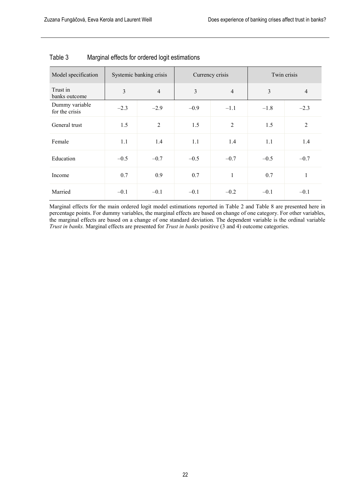| Systemic banking crisis<br>Model specification |        |                | Currency crisis | Twin crisis    |        |                |
|------------------------------------------------|--------|----------------|-----------------|----------------|--------|----------------|
| Trust in<br>banks outcome                      | 3      | $\overline{4}$ | 3               | $\overline{4}$ | 3      | $\overline{4}$ |
| Dummy variable<br>for the crisis               | $-2.3$ | $-2.9$         | $-0.9$          | $-1.1$         | $-1.8$ | $-2.3$         |
| General trust                                  | 1.5    | $\overline{2}$ | 1.5             | $\overline{2}$ | 1.5    | $\overline{2}$ |
| Female                                         | 1.1    | 1.4            | 1.1             | 1.4            | 1.1    | 1.4            |
| Education                                      | $-0.5$ | $-0.7$         | $-0.5$          | $-0.7$         | $-0.5$ | $-0.7$         |
| Income                                         | 0.7    | 0.9            | 0.7             | $\mathbf{1}$   | 0.7    | 1              |
| Married                                        | $-0.1$ | $-0.1$         | $-0.1$          | $-0.2$         | $-0.1$ | $-0.1$         |

### Table 3 Marginal effects for ordered logit estimations

Marginal effects for the main ordered logit model estimations reported in Table 2 and Table 8 are presented here in percentage points. For dummy variables, the marginal effects are based on change of one category. For other variables, the marginal effects are based on a change of one standard deviation. The dependent variable is the ordinal variable *Trust in banks.* Marginal effects are presented for *Trust in banks* positive (3 and 4) outcome categories.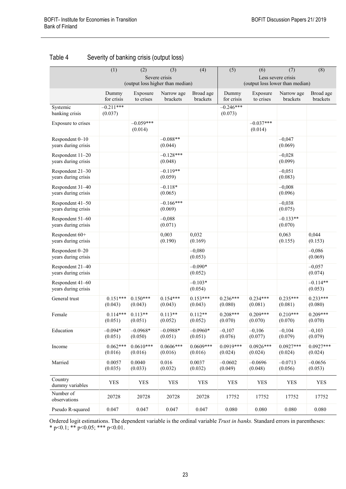|                                         | $\overline{(1)}$                                  | $\overline{(2)}$       | (3)                    | $\overline{(4)}$       | $\overline{(5)}$                                      | (6)                    | (7)                    | $\overline{(8)}$       |
|-----------------------------------------|---------------------------------------------------|------------------------|------------------------|------------------------|-------------------------------------------------------|------------------------|------------------------|------------------------|
|                                         | Severe crisis<br>(output loss higher than median) |                        |                        |                        | Less severe crisis<br>(output loss lower than median) |                        |                        |                        |
|                                         | Dummy<br>for crisis                               | Exposure<br>to crises  | Narrow age<br>brackets | Broad age<br>brackets  | Dummy<br>for crisis                                   | Exposure<br>to crises  | Narrow age<br>brackets | Broad age<br>brackets  |
| Systemic<br>banking crisis              | $-0.211***$<br>(0.037)                            |                        |                        |                        | $-0.246***$<br>(0.073)                                |                        |                        |                        |
| Exposure to crises                      |                                                   | $-0.059***$<br>(0.014) |                        |                        |                                                       | $-0.037***$<br>(0.014) |                        |                        |
| Respondent 0-10<br>years during crisis  |                                                   |                        | $-0.088**$<br>(0.044)  |                        |                                                       |                        | $-0,047$<br>(0.069)    |                        |
| Respondent 11-20<br>years during crisis |                                                   |                        | $-0.128***$<br>(0.048) |                        |                                                       |                        | $-0,028$<br>(0.099)    |                        |
| Respondent 21-30<br>years during crisis |                                                   |                        | $-0.119**$<br>(0.059)  |                        |                                                       |                        | $-0,051$<br>(0.083)    |                        |
| Respondent 31-40<br>years during crisis |                                                   |                        | $-0.118*$<br>(0.065)   |                        |                                                       |                        | $-0,008$<br>(0.096)    |                        |
| Respondent 41-50<br>years during crisis |                                                   |                        | $-0.166***$<br>(0.069) |                        |                                                       |                        | $-0.038$<br>(0.075)    |                        |
| Respondent 51-60<br>years during crisis |                                                   |                        | $-0,088$<br>(0.071)    |                        |                                                       |                        | $-0.133**$<br>(0.070)  |                        |
| Respondent 60+<br>years during crisis   |                                                   |                        | 0,003<br>(0.190)       | 0,032<br>(0.169)       |                                                       |                        | 0,063<br>(0.155)       | 0,044<br>(0.153)       |
| Respondent 0-20<br>years during crisis  |                                                   |                        |                        | $-0,080$<br>(0.053)    |                                                       |                        |                        | $-0,086$<br>(0.069)    |
| Respondent 21-40<br>years during crisis |                                                   |                        |                        | $-0.090*$<br>(0.052)   |                                                       |                        |                        | $-0,057$<br>(0.074)    |
| Respondent 41-60<br>years during crisis |                                                   |                        |                        | $-0.103*$<br>(0.054)   |                                                       |                        |                        | $-0.114**$<br>(0.053)  |
| General trust                           | $0.151***$<br>(0.043)                             | $0.150***$<br>(0.043)  | $0.154***$<br>(0.043)  | $0.153***$<br>(0.043)  | $0.236***$<br>(0.080)                                 | $0.234***$<br>(0.081)  | $0.235***$<br>(0.081)  | $0.233***$<br>(0.080)  |
| Female                                  | $0.114***$<br>(0.051)                             | $0.113**$<br>(0.051)   | $0.113**$<br>(0.052)   | $0.112**$<br>(0.052)   | $0.208***$<br>(0.070)                                 | $0.209***$<br>(0.070)  | $0.210***$<br>(0.070)  | $0.209***$<br>(0.070)  |
| Education                               | $-0.094*$<br>(0.051)                              | $-0.0968*$<br>(0.050)  | $-0.0988*$<br>(0.051)  | $-0.0960*$<br>(0.051)  | $-0,107$<br>(0.076)                                   | $-0,106$<br>(0.077)    | $-0,104$<br>(0.079)    | $-0,103$<br>(0.079)    |
| Income                                  | $0.062***$<br>(0.016)                             | $0.0610***$<br>(0.016) | $0.0606***$<br>(0.016) | $0.0609***$<br>(0.016) | $0.0919***$<br>(0.024)                                | $0.0926***$<br>(0.024) | $0.0927***$<br>(0.024) | $0.0927***$<br>(0.024) |
| Married                                 | 0.0057<br>(0.035)                                 | 0.0040<br>(0.033)      | 0.016<br>(0.032)       | 0.0037<br>(0.032)      | $-0.0602$<br>(0.049)                                  | $-0.0696$<br>(0.048)   | $-0.0713$<br>(0.056)   | $-0.0656$<br>(0.053)   |
| Country<br>dummy variables              | <b>YES</b>                                        | <b>YES</b>             | <b>YES</b>             | YES                    | <b>YES</b>                                            | <b>YES</b>             | <b>YES</b>             | <b>YES</b>             |
| Number of<br>observations               | 20728                                             | 20728                  | 20728                  | 20728                  | 17752                                                 | 17752                  | 17752                  | 17752                  |
| Pseudo R-squared                        | 0.047                                             | 0.047                  | 0.047                  | 0.047                  | 0.080                                                 | 0.080                  | 0.080                  | 0.080                  |

### Table 4 Severity of banking crisis (output loss)

Ordered logit estimations. The dependent variable is the ordinal variable *Trust in banks.* Standard errors in parentheses: \* p<0.1; \*\* p<0.05; \*\*\* p<0.01.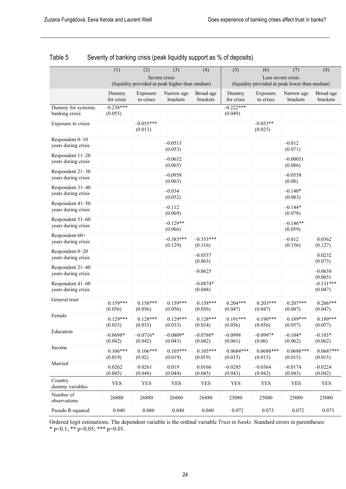|                                         | (1)                                             | (2)                    | (3)                    | (4)                    | (5)                                                                  | (6)                    | (7)                    | (8)                    |  |
|-----------------------------------------|-------------------------------------------------|------------------------|------------------------|------------------------|----------------------------------------------------------------------|------------------------|------------------------|------------------------|--|
|                                         |                                                 |                        | Severe crisis          |                        | Less severe crisis<br>(liquidity provided at peak lower than median) |                        |                        |                        |  |
|                                         | (liquidity provided at peak higher than median) |                        |                        |                        |                                                                      |                        |                        |                        |  |
|                                         | Dummy<br>for crisis                             | Exposure<br>to crises  | Narrow age<br>brackets | Broad age<br>brackets  | Dummy<br>for crisis                                                  | Exposure<br>to crises  | Narrow age<br>brackets | Broad age<br>brackets  |  |
| Dummy for systemic<br>banking crisis    | $-0.238***$<br>(0.055)                          |                        |                        |                        | $-0.222***$<br>(0.049)                                               |                        |                        |                        |  |
| Exposure to crises                      |                                                 | $-0.055***$<br>(0.013) |                        |                        |                                                                      | $-0.053**$<br>(0.025)  |                        |                        |  |
| Respondent 0-10<br>years during crisis  |                                                 |                        | $-0.0513$<br>(0.053)   |                        |                                                                      |                        | $-0.012$<br>(0.071)    |                        |  |
| Respondent 11-20<br>years during crisis |                                                 |                        | $-0.0632$<br>(0.065)   |                        |                                                                      |                        | $-0.00051$<br>(0.086)  |                        |  |
| Respondent 21-30<br>years during crisis |                                                 |                        | $-0.0958$<br>(0.063)   |                        |                                                                      |                        | $-0.0558$<br>(0.08)    |                        |  |
| Respondent 31-40<br>years during crisis |                                                 |                        | $-0.034$<br>(0.052)    |                        |                                                                      |                        | $-0.140*$<br>(0.083)   |                        |  |
| Respondent 41-50<br>years during crisis |                                                 |                        | $-0.112$<br>(0.069)    |                        |                                                                      |                        | $-0.144*$<br>(0.078)   |                        |  |
| Respondent 51-60<br>years during crisis |                                                 |                        | $-0.129**$<br>(0.066)  |                        |                                                                      |                        | $-0.146**$<br>(0.059)  |                        |  |
| Respondent 60+<br>years during crisis   |                                                 |                        | $-0.383***$<br>(0.129) | $-0.353***$<br>(0.116) |                                                                      |                        | $-0.012$<br>(0.156)    | 0.0362<br>(0.127)      |  |
| Respondent 0-20<br>years during crisis  |                                                 |                        |                        | $-0.0537$<br>(0.063)   |                                                                      |                        |                        | 0.0232<br>(0.073)      |  |
| Respondent 21-40<br>years during crisis |                                                 |                        |                        | $-0.0625$              |                                                                      |                        |                        | $-0.0638$<br>(0.065)   |  |
| Respondent 41-60<br>years during crisis |                                                 |                        |                        | $-0.0874*$<br>(0.048)  |                                                                      |                        |                        | $-0.131***$<br>(0.047) |  |
| General trust                           | $0.159***$<br>(0.056)                           | $0.158***$<br>(0.056)  | $0.159***$<br>(0.056)  | $0.158***$<br>(0.056)  | $0.204***$<br>(0.047)                                                | $0.203***$<br>(0.047)  | $0.207***$<br>(0.047)  | $0.206***$<br>(0.047)  |  |
| Female                                  | $0.129***$<br>(0.033)                           | $0.128***$<br>(0.033)  | $0.129***$<br>(0.033)  | $0.128***$<br>(0.034)  | $0.191***$<br>(0.056)                                                | $0.190***$<br>(0.056)  | $0.189***$<br>(0.057)  | $0.189***$<br>(0.057)  |  |
| Education                               | $-0.0698*$<br>(0.042)                           | $-0.0716*$<br>(0.042)  | $-0.0809*$<br>(0.043)  | $-0.0780*$<br>(0.042)  | $-0.0998$<br>(0.061)                                                 | $-0.0997*$<br>(0.06)   | $-0.104*$<br>(0.062)   | $-0.103*$<br>(0.062)   |  |
| Income                                  | $0.106***$<br>(0.019)                           | $0.106***$<br>(0.02)   | $0.105***$<br>(0.019)  | $0.105***$<br>(0.019)  | $0.0684***$<br>(0.015)                                               | $0.0688***$<br>(0.015) | $0.0688***$<br>(0.015) | $0.0687***$<br>(0.015) |  |
| Married                                 | 0.0262<br>(0.045)                               | 0.0261<br>(0.046)      | 0.019<br>(0.044)       | 0.0166<br>(0.045)      | $-0.0285$<br>(0.043)                                                 | $-0.0364$<br>(0.042)   | $-0.0174$<br>(0.043)   | $-0.0224$<br>(0.042)   |  |
| Country<br>dummy variables              | <b>YES</b>                                      | YES                    | <b>YES</b>             | <b>YES</b>             | <b>YES</b>                                                           | YES                    | <b>YES</b>             | YES                    |  |
| Number of<br>observations               | 26880                                           | 26880                  | 26880                  | 26880                  | 25080                                                                | 25080                  | 25080                  | 25080                  |  |
| Pseudo R-squared                        | 0.040                                           | 0.040                  | 0.040                  | 0.040                  | 0.072                                                                | 0.073                  | 0.072                  | 0.073                  |  |

### Table 5 Severity of banking crisis (peak liquidity support as % of deposits)

Ordered logit estimations. The dependent variable is the ordinal variable *Trust in banks.* Standard errors in parentheses: \* p<0.1; \*\* p<0.05; \*\*\* p<0.01.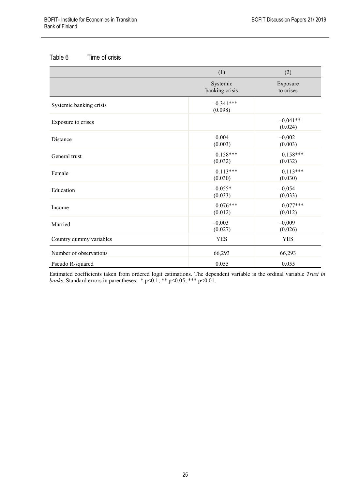### Table 6 Time of crisis

|                         | (1)                        | (2)                   |
|-------------------------|----------------------------|-----------------------|
|                         | Systemic<br>banking crisis | Exposure<br>to crises |
| Systemic banking crisis | $-0.341***$<br>(0.098)     |                       |
| Exposure to crises      |                            | $-0.041**$<br>(0.024) |
| Distance                | 0.004<br>(0.003)           | $-0.002$<br>(0.003)   |
| General trust           | $0.158***$<br>(0.032)      | $0.158***$<br>(0.032) |
| Female                  | $0.113***$<br>(0.030)      | $0.113***$<br>(0.030) |
| Education               | $-0.055*$<br>(0.033)       | $-0,054$<br>(0.033)   |
| Income                  | $0.076***$<br>(0.012)      | $0.077***$<br>(0.012) |
| Married                 | $-0,003$<br>(0.027)        | $-0,009$<br>(0.026)   |
| Country dummy variables | <b>YES</b>                 | <b>YES</b>            |
| Number of observations  | 66,293                     | 66,293                |
| Pseudo R-squared        | 0.055                      | 0.055                 |

Estimated coefficients taken from ordered logit estimations. The dependent variable is the ordinal variable *Trust in banks*. Standard errors in parentheses: \* p<0.1; \*\* p<0.05; \*\*\* p<0.01.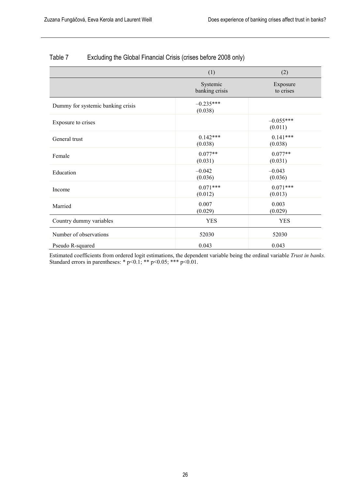|                                   | (1)                        | (2)                    |
|-----------------------------------|----------------------------|------------------------|
|                                   | Systemic<br>banking crisis | Exposure<br>to crises  |
| Dummy for systemic banking crisis | $-0.235***$<br>(0.038)     |                        |
| Exposure to crises                |                            | $-0.055***$<br>(0.011) |
| General trust                     | $0.142***$<br>(0.038)      | $0.141***$<br>(0.038)  |
| Female                            | $0.077**$<br>(0.031)       | $0.077**$<br>(0.031)   |
| Education                         | $-0.042$<br>(0.036)        | $-0.043$<br>(0.036)    |
| Income                            | $0.071***$<br>(0.012)      | $0.071***$<br>(0.013)  |
| Married                           | 0.007<br>(0.029)           | 0.003<br>(0.029)       |
| Country dummy variables           | <b>YES</b>                 | <b>YES</b>             |
| Number of observations            | 52030                      | 52030                  |
| Pseudo R-squared                  | 0.043                      | 0.043                  |

### Table 7 Excluding the Global Financial Crisis (crises before 2008 only)

Estimated coefficients from ordered logit estimations, the dependent variable being the ordinal variable *Trust in banks.*  Standard errors in parentheses:  $* p<0.1; ** p<0.05; *** p<0.01$ .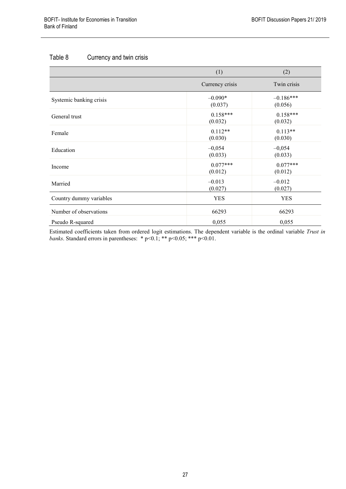### Table 8 Currency and twin crisis

|                         | (1)                   | (2)                    |
|-------------------------|-----------------------|------------------------|
|                         | Currency crisis       | Twin crisis            |
| Systemic banking crisis | $-0.090*$<br>(0.037)  | $-0.186***$<br>(0.056) |
| General trust           | $0.158***$<br>(0.032) | $0.158***$<br>(0.032)  |
| Female                  | $0.112**$<br>(0.030)  | $0.113**$<br>(0.030)   |
| Education               | $-0,054$<br>(0.033)   | $-0,054$<br>(0.033)    |
| Income                  | $0.077***$<br>(0.012) | $0.077***$<br>(0.012)  |
| Married                 | $-0.013$<br>(0.027)   | $-0.012$<br>(0.027)    |
| Country dummy variables | <b>YES</b>            | <b>YES</b>             |
| Number of observations  | 66293                 | 66293                  |
| Pseudo R-squared        | 0,055                 | 0,055                  |

Estimated coefficients taken from ordered logit estimations. The dependent variable is the ordinal variable *Trust in banks*. Standard errors in parentheses: \* p<0.1; \*\* p<0.05; \*\*\* p<0.01.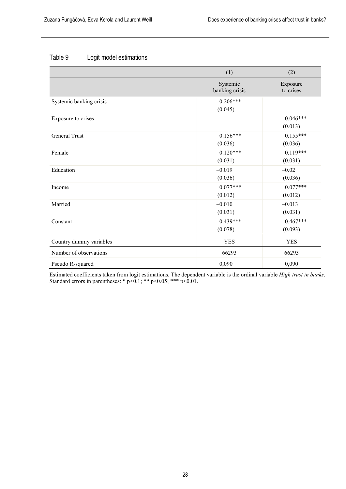### Table 9 Logit model estimations

|                         | (1)                        | (2)                    |
|-------------------------|----------------------------|------------------------|
|                         | Systemic<br>banking crisis | Exposure<br>to crises  |
| Systemic banking crisis | $-0.206***$<br>(0.045)     |                        |
| Exposure to crises      |                            | $-0.046***$<br>(0.013) |
| General Trust           | $0.156***$<br>(0.036)      | $0.155***$<br>(0.036)  |
| Female                  | $0.120***$<br>(0.031)      | $0.119***$<br>(0.031)  |
| Education               | $-0.019$<br>(0.036)        | $-0.02$<br>(0.036)     |
| Income                  | $0.077***$<br>(0.012)      | $0.077***$<br>(0.012)  |
| Married                 | $-0.010$<br>(0.031)        | $-0.013$<br>(0.031)    |
| Constant                | $0.439***$<br>(0.078)      | $0.467***$<br>(0.093)  |
| Country dummy variables | <b>YES</b>                 | <b>YES</b>             |
| Number of observations  | 66293                      | 66293                  |
| Pseudo R-squared        | 0,090                      | 0,090                  |

Estimated coefficients taken from logit estimations. The dependent variable is the ordinal variable *High trust in banks*. Standard errors in parentheses: \* p<0.1; \*\* p<0.05; \*\*\* p<0.01.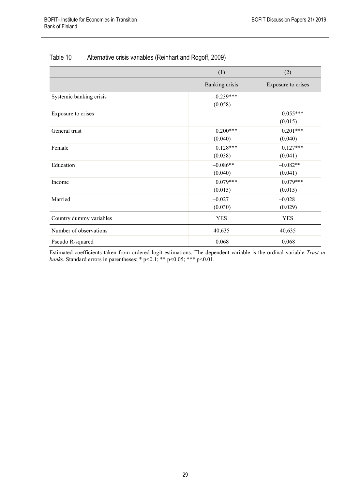|                         | (1)                    | (2)                    |
|-------------------------|------------------------|------------------------|
|                         | Banking crisis         | Exposure to crises     |
| Systemic banking crisis | $-0.239***$<br>(0.058) |                        |
| Exposure to crises      |                        | $-0.055***$<br>(0.015) |
| General trust           | $0.200***$<br>(0.040)  | $0.201***$<br>(0.040)  |
| Female                  | $0.128***$<br>(0.038)  | $0.127***$<br>(0.041)  |
| Education               | $-0.086**$<br>(0.040)  | $-0.082**$<br>(0.041)  |
| Income                  | $0.079***$<br>(0.015)  | $0.079***$<br>(0.015)  |
| Married                 | $-0.027$<br>(0.030)    | $-0.028$<br>(0.029)    |
| Country dummy variables | <b>YES</b>             | <b>YES</b>             |
| Number of observations  | 40,635                 | 40,635                 |
| Pseudo R-squared        | 0.068                  | 0.068                  |

### Table 10 Alternative crisis variables (Reinhart and Rogoff, 2009)

Estimated coefficients taken from ordered logit estimations. The dependent variable is the ordinal variable *Trust in banks*. Standard errors in parentheses: \* p<0.1; \*\* p<0.05; \*\*\* p<0.01.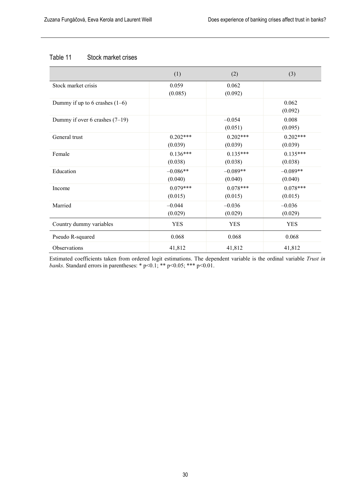#### Table 11 Stock market crises

|                                  | (1)                   | (2)                   | (3)                   |
|----------------------------------|-----------------------|-----------------------|-----------------------|
| Stock market crisis              | 0.059<br>(0.085)      | 0.062<br>(0.092)      |                       |
| Dummy if up to 6 crashes $(1-6)$ |                       |                       | 0.062<br>(0.092)      |
| Dummy if over 6 crashes $(7-19)$ |                       | $-0.054$<br>(0.051)   | 0.008<br>(0.095)      |
| General trust                    | $0.202***$<br>(0.039) | $0.202***$<br>(0.039) | $0.202***$<br>(0.039) |
| Female                           | $0.136***$<br>(0.038) | $0.135***$<br>(0.038) | $0.135***$<br>(0.038) |
| Education                        | $-0.086**$<br>(0.040) | $-0.089**$<br>(0.040) | $-0.089**$<br>(0.040) |
| Income                           | $0.079***$<br>(0.015) | $0.078***$<br>(0.015) | $0.078***$<br>(0.015) |
| Married                          | $-0.044$<br>(0.029)   | $-0.036$<br>(0.029)   | $-0.036$<br>(0.029)   |
| Country dummy variables          | <b>YES</b>            | <b>YES</b>            | <b>YES</b>            |
| Pseudo R-squared                 | 0.068                 | 0.068                 | 0.068                 |
| Observations                     | 41,812                | 41,812                | 41,812                |

Estimated coefficients taken from ordered logit estimations. The dependent variable is the ordinal variable *Trust in banks*. Standard errors in parentheses: \* p<0.1; \*\* p<0.05; \*\*\* p<0.01.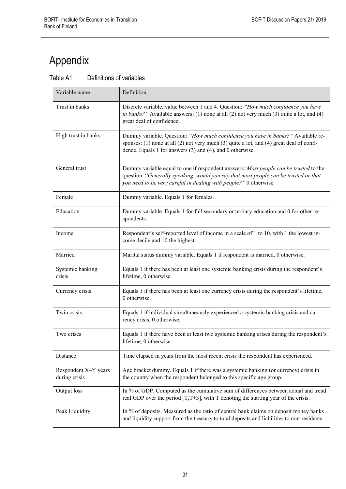# <span id="page-30-0"></span>Appendix

| Table A1 | Definitions of variables |  |
|----------|--------------------------|--|
|----------|--------------------------|--|

| Variable name                         | Definition                                                                                                                                                                                                                                        |
|---------------------------------------|---------------------------------------------------------------------------------------------------------------------------------------------------------------------------------------------------------------------------------------------------|
| Trust in banks                        | Discrete variable, value between 1 and 4. Question: "How much confidence you have<br>in banks?" Available answers: (1) none at all (2) not very much (3) quite a lot, and (4)<br>great deal of confidence.                                        |
| High trust in banks                   | Dummy variable. Question: "How much confidence you have in banks?" Available re-<br>sponses: (1) none at all (2) not very much (3) quite a lot, and (4) great deal of confi-<br>dence. Equals 1 for answers (3) and (4), and 0 otherwise.         |
| General trust                         | Dummy variable equal to one if respondent answers: Most people can be trusted to the<br>question: "Generally speaking. would you say that most people can be trusted or that<br>you need to be very careful in dealing with people?" 0 otherwise. |
| Female                                | Dummy variable. Equals 1 for females.                                                                                                                                                                                                             |
| Education                             | Dummy variable. Equals 1 for full secondary or tertiary education and 0 for other re-<br>spondents.                                                                                                                                               |
| Income                                | Respondent's self-reported level of income in a scale of 1 to 10, with 1 the lowest in-<br>come decile and 10 the highest.                                                                                                                        |
| Married                               | Marital status dummy variable. Equals 1 if respondent is married, 0 otherwise.                                                                                                                                                                    |
| Systemic banking<br>crisis            | Equals 1 if there has been at least one systemic banking crisis during the respondent's<br>lifetime, 0 otherwise.                                                                                                                                 |
| Currency crisis                       | Equals 1 if there has been at least one currency crisis during the respondent's lifetime,<br>0 otherwise.                                                                                                                                         |
| Twin crisis                           | Equals 1 if individual simultaneously experienced a systemic banking crisis and cur-<br>rency crisis, 0 otherwise.                                                                                                                                |
| Two crises                            | Equals 1 if there have been at least two systemic banking crises during the respondent's<br>lifetime, 0 otherwise.                                                                                                                                |
| Distance                              | Time elapsed in years from the most recent crisis the respondent has experienced.                                                                                                                                                                 |
| Respondent X-Y years<br>during crisis | Age bracket dummy. Equals 1 if there was a systemic banking (or currency) crisis in<br>the country when the respondent belonged to this specific age group.                                                                                       |
| Output loss                           | In % of GDP. Computed as the cumulative sum of differences between actual and trend<br>real GDP over the period $[T, T+3]$ , with T denoting the starting year of the crisis.                                                                     |
| Peak Liquidity                        | In % of deposits. Measured as the ratio of central bank claims on deposit money banks<br>and liquidity support from the treasury to total deposits and liabilities to non-residents.                                                              |